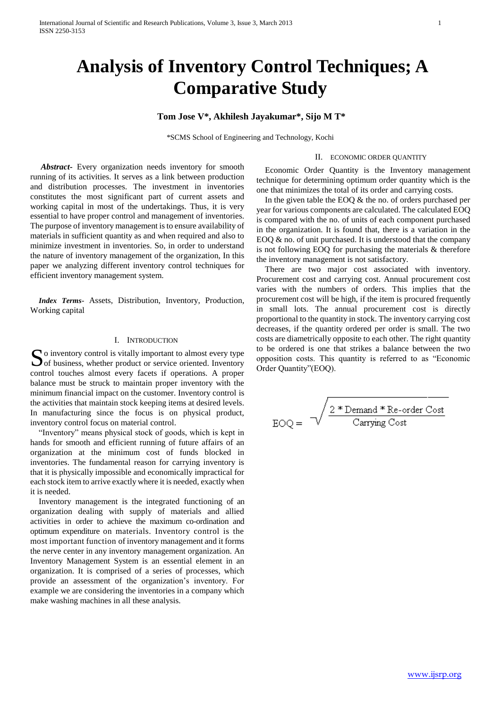# **Analysis of Inventory Control Techniques; A Comparative Study**

# **Tom Jose V\*, Akhilesh Jayakumar\*, Sijo M T\***

\*SCMS School of Engineering and Technology, Kochi

#### II. ECONOMIC ORDER QUANTITY

 *Abstract***-** Every organization needs inventory for smooth running of its activities. It serves as a link between production and distribution processes. The investment in inventories constitutes the most significant part of current assets and working capital in most of the undertakings. Thus, it is very essential to have proper control and management of inventories. The purpose of inventory management is to ensure availability of materials in sufficient quantity as and when required and also to minimize investment in inventories. So, in order to understand the nature of inventory management of the organization, In this paper we analyzing different inventory control techniques for efficient inventory management system.

*Index Terms***-** Assets, Distribution, Inventory, Production, Working capital

### I. INTRODUCTION

o inventory control is vitally important to almost every type control touches almost every facets if operations. A proper balance must be struck to maintain proper inventory with the minimum financial impact on the customer. Inventory control is the activities that maintain stock keeping items at desired levels. In manufacturing since the focus is on physical product, inventory control focus on material control.

"Inventory" means physical stock of goods, which is kept in hands for smooth and efficient running of future affairs of an organization at the minimum cost of funds blocked in inventories. The fundamental reason for carrying inventory is that it is physically impossible and economically impractical for each stock item to arrive exactly where it is needed, exactly when it is needed.

Inventory management is the integrated functioning of an organization dealing with supply of materials and allied activities in order to achieve the maximum co-ordination and optimum expenditure on materials. Inventory control is the most important function of inventory management and it forms the nerve center in any inventory management organization. An Inventory Management System is an essential element in an organization. It is comprised of a series of processes, which provide an assessment of the organization's inventory. For example we are considering the inventories in a company which make washing machines in all these analysis.

Economic Order Quantity is the Inventory management technique for determining optimum order quantity which is the one that minimizes the total of its order and carrying costs.

In the given table the EOQ & the no. of orders purchased per year for various components are calculated. The calculated EOQ is compared with the no. of units of each component purchased in the organization. It is found that, there is a variation in the EOQ  $\&$  no. of unit purchased. It is understood that the company is not following EOQ for purchasing the materials & therefore the inventory management is not satisfactory.

**Solution** is vitally important to almost every type<br>
of business, whether product or service oriented. Inventory<br>
opposition costs. This quantity is referred to as "Economic<br>
order Quantity"(EOQ). There are two major cost associated with inventory. Procurement cost and carrying cost. Annual procurement cost varies with the numbers of orders. This implies that the procurement cost will be high, if the item is procured frequently in small lots. The annual procurement cost is directly proportional to the quantity in stock. The inventory carrying cost decreases, if the quantity ordered per order is small. The two costs are diametrically opposite to each other. The right quantity to be ordered is one that strikes a balance between the two

$$
EOQ = \sqrt{\frac{2 * Demand * Re-order Cost}{Carrying Cost}}
$$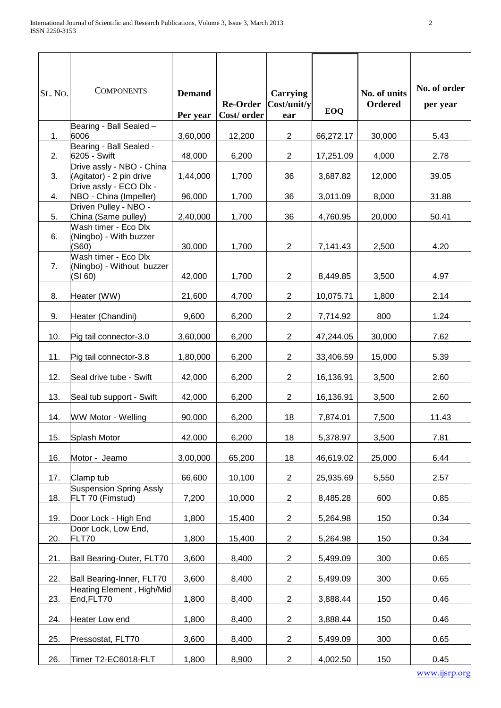| SL. No. | <b>COMPONENTS</b>                                            | <b>Demand</b><br>Per year | <b>Re-Order</b><br>Cost/order | <b>Carrying</b><br>Cost/unit/y<br>ear | EOQ       | No. of units<br>Ordered | No. of order<br>per year |
|---------|--------------------------------------------------------------|---------------------------|-------------------------------|---------------------------------------|-----------|-------------------------|--------------------------|
| 1.      | Bearing - Ball Sealed -<br>6006                              | 3,60,000                  | 12,200                        | $\overline{2}$                        | 66,272.17 | 30,000                  | 5.43                     |
| 2.      | Bearing - Ball Sealed -<br>6205 - Swift                      | 48,000                    | 6,200                         | $\overline{2}$                        | 17,251.09 | 4,000                   | 2.78                     |
| 3.      | Drive assly - NBO - China<br>(Agitator) - 2 pin drive        | 1,44,000                  | 1,700                         | 36                                    | 3,687.82  | 12,000                  | 39.05                    |
| 4.      | Drive assly - ECO Dlx -<br>NBO - China (Impeller)            | 96,000                    | 1,700                         | 36                                    | 3,011.09  | 8,000                   | 31.88                    |
| 5.      | Driven Pulley - NBO -<br>China (Same pulley)                 | 2,40,000                  | 1,700                         | 36                                    | 4,760.95  | 20,000                  | 50.41                    |
| 6.      | Wash timer - Eco Dlx<br>(Ningbo) - With buzzer<br>(S60)      | 30,000                    | 1,700                         | $\overline{2}$                        | 7,141.43  | 2,500                   | 4.20                     |
| 7.      | Wash timer - Eco Dlx<br>(Ningbo) - Without buzzer<br>(SI 60) | 42,000                    | 1,700                         | $\overline{2}$                        | 8,449.85  | 3,500                   | 4.97                     |
| 8.      | Heater (WW)                                                  | 21,600                    | 4,700                         | $\overline{2}$                        | 10,075.71 | 1,800                   | 2.14                     |
| 9.      | Heater (Chandini)                                            | 9,600                     | 6,200                         | $\overline{2}$                        | 7,714.92  | 800                     | 1.24                     |
| 10.     | Pig tail connector-3.0                                       | 3,60,000                  | 6,200                         | $\overline{2}$                        | 47,244.05 | 30,000                  | 7.62                     |
| 11.     | Pig tail connector-3.8                                       | 1,80,000                  | 6,200                         | $\overline{2}$                        | 33,406.59 | 15,000                  | 5.39                     |
| 12.     | Seal drive tube - Swift                                      | 42,000                    | 6,200                         | $\overline{2}$                        | 16,136.91 | 3,500                   | 2.60                     |
| 13.     | Seal tub support - Swift                                     | 42,000                    | 6,200                         | $\overline{2}$                        | 16,136.91 | 3,500                   | 2.60                     |
| 14.     | WW Motor - Welling                                           | 90,000                    | 6,200                         | 18                                    | 7,874.01  | 7,500                   | 11.43                    |
| 15.     | Splash Motor                                                 | 42,000                    | 6,200                         | 18                                    | 5,378.97  | 3,500                   | 7.81                     |
| 16.     | Motor - Jeamo                                                | 3,00,000                  | 65,200                        | 18                                    | 46,619.02 | 25,000                  | 6.44                     |
| 17.     | Clamp tub                                                    | 66,600                    | 10,100                        | $\overline{a}$                        | 25,935.69 | 5,550                   | 2.57                     |
| 18.     | <b>Suspension Spring Assly</b><br>FLT 70 (Fimstud)           | 7,200                     | 10,000                        | $\overline{2}$                        | 8,485.28  | 600                     | 0.85                     |
| 19.     | Door Lock - High End                                         | 1,800                     | 15,400                        | $\overline{2}$                        | 5,264.98  | 150                     | 0.34                     |
| 20.     | Door Lock, Low End,<br>FLT70                                 | 1,800                     | 15,400                        | $\overline{2}$                        | 5,264.98  | 150                     | 0.34                     |
| 21.     | Ball Bearing-Outer, FLT70                                    | 3,600                     | 8,400                         | $\overline{2}$                        | 5,499.09  | 300                     | 0.65                     |
| 22.     | Ball Bearing-Inner, FLT70<br>Heating Element, High/Mid       | 3,600                     | 8,400                         | $\overline{2}$                        | 5,499.09  | 300                     | 0.65                     |
| 23.     | End,FLT70                                                    | 1,800                     | 8,400                         | $\overline{2}$                        | 3,888.44  | 150                     | 0.46                     |
| 24.     | Heater Low end                                               | 1,800                     | 8,400                         | $\overline{a}$                        | 3,888.44  | 150                     | 0.46                     |
| 25.     | Pressostat, FLT70                                            | 3,600                     | 8,400                         | $\overline{c}$                        | 5,499.09  | 300                     | 0.65                     |
| 26.     | Timer T2-EC6018-FLT                                          | 1,800                     | 8,900                         | $\overline{2}$                        | 4,002.50  | 150                     | 0.45                     |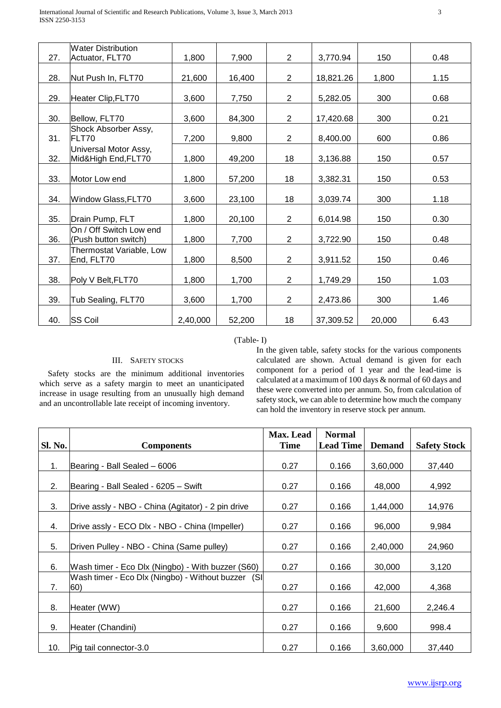|     | <b>Water Distribution</b>                       |          |        |                |           |        |      |
|-----|-------------------------------------------------|----------|--------|----------------|-----------|--------|------|
| 27. | Actuator, FLT70                                 | 1,800    | 7,900  | $\overline{2}$ | 3,770.94  | 150    | 0.48 |
|     |                                                 |          |        |                |           |        |      |
| 28. | Nut Push In, FLT70                              | 21,600   | 16,400 | $\overline{2}$ | 18,821.26 | 1,800  | 1.15 |
| 29. | Heater Clip, FLT70                              | 3,600    | 7,750  | $\overline{2}$ | 5,282.05  | 300    | 0.68 |
| 30. | Bellow, FLT70                                   | 3,600    | 84,300 | $\overline{2}$ | 17,420.68 | 300    | 0.21 |
| 31. | Shock Absorber Assy,<br>FLT70                   | 7,200    | 9,800  | $\overline{2}$ | 8,400.00  | 600    | 0.86 |
| 32. | Universal Motor Assy,<br>Mid&High End, FLT70    | 1,800    | 49,200 | 18             | 3,136.88  | 150    | 0.57 |
| 33. | Motor Low end                                   | 1,800    | 57,200 | 18             | 3,382.31  | 150    | 0.53 |
| 34. | Window Glass, FLT70                             | 3,600    | 23,100 | 18             | 3,039.74  | 300    | 1.18 |
| 35. | Drain Pump, FLT                                 | 1,800    | 20,100 | $\overline{2}$ | 6,014.98  | 150    | 0.30 |
| 36. | On / Off Switch Low end<br>(Push button switch) | 1,800    | 7,700  | $\overline{2}$ | 3,722.90  | 150    | 0.48 |
| 37. | Thermostat Variable, Low<br>End, FLT70          | 1,800    | 8,500  | $\overline{2}$ | 3,911.52  | 150    | 0.46 |
| 38. | Poly V Belt, FLT70                              | 1,800    | 1,700  | $\overline{2}$ | 1,749.29  | 150    | 1.03 |
| 39. | Tub Sealing, FLT70                              | 3,600    | 1,700  | $\overline{2}$ | 2,473.86  | 300    | 1.46 |
| 40. | <b>SS Coil</b>                                  | 2,40,000 | 52,200 | 18             | 37,309.52 | 20,000 | 6.43 |

# (Table- I)

## III. SAFETY STOCKS

Safety stocks are the minimum additional inventories which serve as a safety margin to meet an unanticipated increase in usage resulting from an unusually high demand and an uncontrollable late receipt of incoming inventory.

In the given table, safety stocks for the various components calculated are shown. Actual demand is given for each component for a period of 1 year and the lead-time is calculated at a maximum of 100 days & normal of 60 days and these were converted into per annum. So, from calculation of safety stock, we can able to determine how much the company can hold the inventory in reserve stock per annum.

|         |                                                           | Max. Lead   | <b>Normal</b>    |               |                     |
|---------|-----------------------------------------------------------|-------------|------------------|---------------|---------------------|
| Sl. No. | <b>Components</b>                                         | <b>Time</b> | <b>Lead Time</b> | <b>Demand</b> | <b>Safety Stock</b> |
|         |                                                           |             |                  |               |                     |
| 1.      | Bearing - Ball Sealed - 6006                              | 0.27        | 0.166            | 3,60,000      | 37,440              |
|         |                                                           |             |                  |               |                     |
| 2.      | Bearing - Ball Sealed - 6205 – Swift                      | 0.27        | 0.166            | 48,000        | 4,992               |
| 3.      | Drive assly - NBO - China (Agitator) - 2 pin drive        | 0.27        | 0.166            | 1,44,000      | 14,976              |
| 4.      | Drive assly - ECO Dlx - NBO - China (Impeller)            | 0.27        | 0.166            | 96,000        | 9,984               |
| 5.      | Driven Pulley - NBO - China (Same pulley)                 | 0.27        | 0.166            | 2,40,000      | 24,960              |
| 6.      | Wash timer - Eco Dlx (Ningbo) - With buzzer (S60)         | 0.27        | 0.166            | 30,000        | 3,120               |
| 7.      | Wash timer - Eco Dlx (Ningbo) - Without buzzer (SI<br>60) | 0.27        | 0.166            | 42,000        | 4,368               |
| 8.      | Heater (WW)                                               | 0.27        | 0.166            | 21,600        | 2,246.4             |
| 9.      | Heater (Chandini)                                         | 0.27        | 0.166            | 9,600         | 998.4               |
| 10.     | Pig tail connector-3.0                                    | 0.27        | 0.166            | 3,60,000      | 37,440              |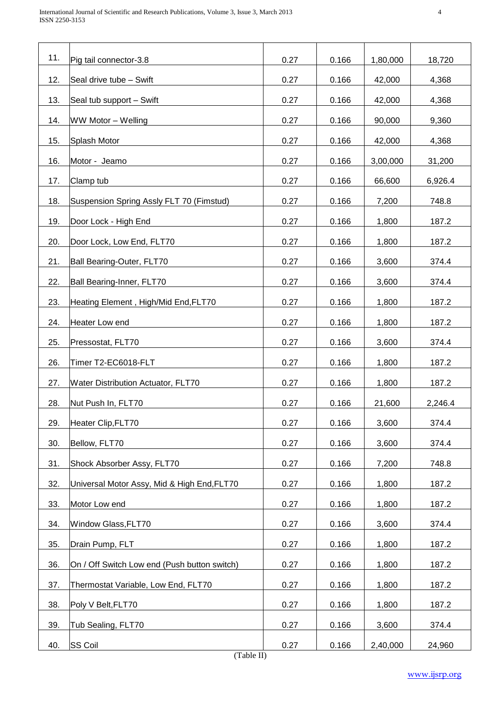| 11. | Pig tail connector-3.8                       | 0.27 | 0.166 | 1,80,000 | 18,720  |
|-----|----------------------------------------------|------|-------|----------|---------|
| 12. | Seal drive tube - Swift                      | 0.27 | 0.166 | 42,000   | 4,368   |
| 13. | Seal tub support - Swift                     | 0.27 | 0.166 | 42,000   | 4,368   |
| 14. | WW Motor - Welling                           | 0.27 | 0.166 | 90,000   | 9,360   |
| 15. | Splash Motor                                 | 0.27 | 0.166 | 42,000   | 4,368   |
| 16. | Motor - Jeamo                                | 0.27 | 0.166 | 3,00,000 | 31,200  |
| 17. | Clamp tub                                    | 0.27 | 0.166 | 66,600   | 6,926.4 |
| 18. | Suspension Spring Assly FLT 70 (Fimstud)     | 0.27 | 0.166 | 7,200    | 748.8   |
| 19. | Door Lock - High End                         | 0.27 | 0.166 | 1,800    | 187.2   |
| 20. | Door Lock, Low End, FLT70                    | 0.27 | 0.166 | 1,800    | 187.2   |
| 21. | Ball Bearing-Outer, FLT70                    | 0.27 | 0.166 | 3,600    | 374.4   |
| 22. | Ball Bearing-Inner, FLT70                    | 0.27 | 0.166 | 3,600    | 374.4   |
| 23. | Heating Element, High/Mid End, FLT70         | 0.27 | 0.166 | 1,800    | 187.2   |
| 24. | <b>Heater Low end</b>                        | 0.27 | 0.166 | 1,800    | 187.2   |
| 25. | Pressostat, FLT70                            | 0.27 | 0.166 | 3,600    | 374.4   |
| 26. | Timer T2-EC6018-FLT                          | 0.27 | 0.166 | 1,800    | 187.2   |
| 27. | <b>Water Distribution Actuator, FLT70</b>    | 0.27 | 0.166 | 1,800    | 187.2   |
| 28. | Nut Push In, FLT70                           | 0.27 | 0.166 | 21,600   | 2,246.4 |
| 29. | Heater Clip, FLT70                           | 0.27 | 0.166 | 3,600    | 374.4   |
| 30. | Bellow, FLT70                                | 0.27 | 0.166 | 3,600    | 374.4   |
| 31. | Shock Absorber Assy, FLT70                   | 0.27 | 0.166 | 7,200    | 748.8   |
| 32. | Universal Motor Assy, Mid & High End, FLT70  | 0.27 | 0.166 | 1,800    | 187.2   |
| 33. | Motor Low end                                | 0.27 | 0.166 | 1,800    | 187.2   |
| 34. | Window Glass, FLT70                          | 0.27 | 0.166 | 3,600    | 374.4   |
| 35. | Drain Pump, FLT                              | 0.27 | 0.166 | 1,800    | 187.2   |
| 36. | On / Off Switch Low end (Push button switch) | 0.27 | 0.166 | 1,800    | 187.2   |
| 37. | Thermostat Variable, Low End, FLT70          | 0.27 | 0.166 | 1,800    | 187.2   |
| 38. | Poly V Belt, FLT70                           | 0.27 | 0.166 | 1,800    | 187.2   |
| 39. | Tub Sealing, FLT70                           | 0.27 | 0.166 | 3,600    | 374.4   |
| 40. | <b>SS Coil</b><br>$(T_0h1_0$ II)             | 0.27 | 0.166 | 2,40,000 | 24,960  |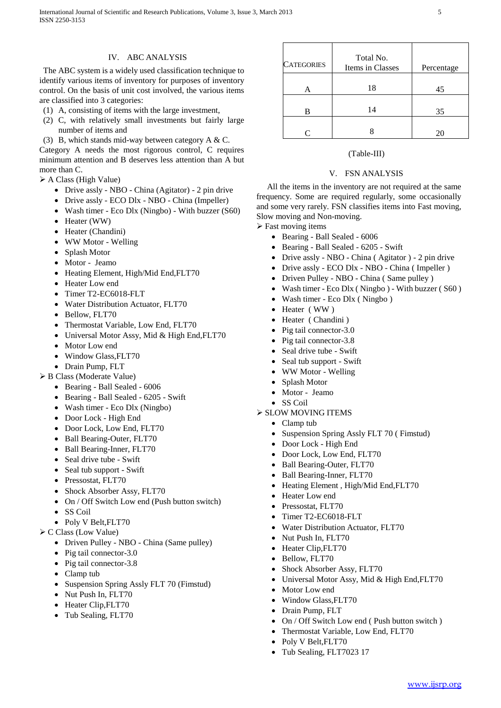# IV. ABC ANALYSIS

The ABC system is a widely used classification technique to identify various items of inventory for purposes of inventory control. On the basis of unit cost involved, the various items are classified into 3 categories:

- (1) A, consisting of items with the large investment,
- (2) C, with relatively small investments but fairly large number of items and
- (3) B, which stands mid-way between category A & C.

Category A needs the most rigorous control, C requires minimum attention and B deserves less attention than A but more than C.

- A Class (High Value)
	- Drive assly NBO China (Agitator) 2 pin drive
	- Drive assly ECO Dlx NBO China (Impeller)
	- Wash timer Eco Dlx (Ningbo) With buzzer (S60)
	- Heater (WW)
	- Heater (Chandini)
	- WW Motor Welling
	- Splash Motor
	- Motor Jeamo
	- Heating Element, High/Mid End, FLT70
	- Heater Low end
	- Timer T2-EC6018-FLT
	- Water Distribution Actuator, FLT70
	- Bellow, FLT70
	- Thermostat Variable, Low End, FLT70
	- Universal Motor Assy, Mid & High End, FLT70
	- Motor Low end
	- Window Glass,FLT70
	- Drain Pump, FLT
- B Class (Moderate Value)
	- Bearing Ball Sealed 6006
	- Bearing Ball Sealed 6205 Swift
	- Wash timer Eco Dlx (Ningbo)
	- Door Lock High End
	- Door Lock, Low End, FLT70
	- Ball Bearing-Outer, FLT70
	- Ball Bearing-Inner, FLT70
	- Seal drive tube Swift
	- Seal tub support Swift
	- Pressostat, FLT70
	- Shock Absorber Assy, FLT70
	- On / Off Switch Low end (Push button switch)
	- SS Coil
	- Poly V Belt, FLT70
- C Class (Low Value)
	- Driven Pulley NBO China (Same pulley)
	- Pig tail connector-3.0
	- Pig tail connector-3.8
	- Clamp tub
	- Suspension Spring Assly FLT 70 (Fimstud)
	- Nut Push In, FLT70
	- Heater Clip, FLT70
	- Tub Sealing, FLT70

| <b>CATEGORIES</b> | Total No.<br>Items in Classes |    |
|-------------------|-------------------------------|----|
|                   | 18                            | 45 |
| в                 | 14                            | 35 |
|                   |                               | 20 |

# (Table-III)

# V. FSN ANALYSIS

All the items in the inventory are not required at the same frequency. Some are required regularly, some occasionally and some very rarely. FSN classifies items into Fast moving, Slow moving and Non-moving.

 $\triangleright$  Fast moving items

- Bearing Ball Sealed 6006
- Bearing Ball Sealed 6205 Swift
- Drive assly NBO China ( Agitator ) 2 pin drive
- Drive assly ECO Dlx NBO China ( Impeller )
- Driven Pulley NBO China ( Same pulley )
- Wash timer Eco Dlx ( Ningbo ) With buzzer ( S60 )
- Wash timer Eco Dlx ( Ningbo )
- Heater ( WW )
- Heater ( Chandini )
- Pig tail connector-3.0
- Pig tail connector-3.8
- Seal drive tube Swift
- Seal tub support Swift
- WW Motor Welling
- Splash Motor
- Motor Jeamo
- SS Coil
- $\triangleright$  SLOW MOVING ITEMS
	- Clamp tub
	- Suspension Spring Assly FLT 70 ( Fimstud)
	- Door Lock High End
	- Door Lock, Low End, FLT70
	- Ball Bearing-Outer, FLT70
	- Ball Bearing-Inner, FLT70
	- Heating Element , High/Mid End,FLT70
	- Heater Low end
	- Pressostat, FLT70
	- Timer T2-EC6018-FLT
	- Water Distribution Actuator, FLT70
	- Nut Push In, FLT70
	- Heater Clip, FLT70
	- Bellow, FLT70
	- Shock Absorber Assy, FLT70
	- Universal Motor Assy, Mid & High End,FLT70
	- Motor Low end
	- Window Glass,FLT70
	- Drain Pump, FLT
	- On / Off Switch Low end ( Push button switch )
	- Thermostat Variable, Low End, FLT70
	- Poly V Belt,FLT70
	- Tub Sealing, FLT7023 17